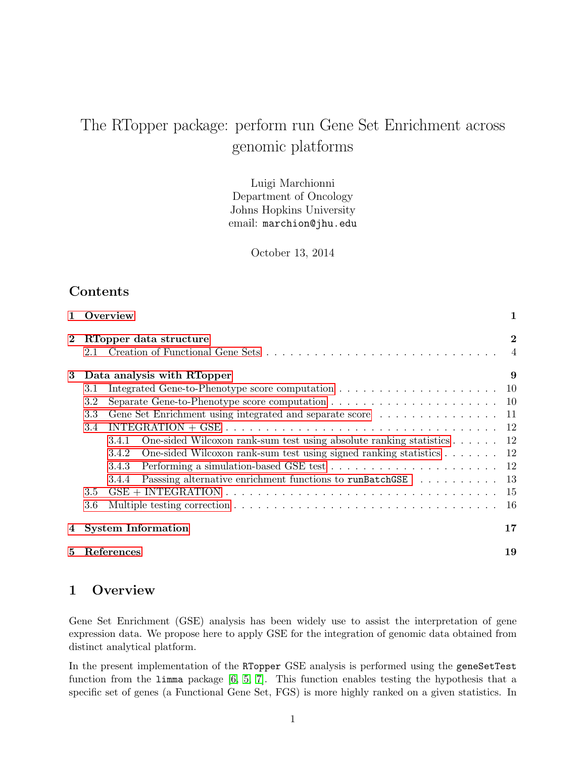# The RTopper package: perform run Gene Set Enrichment across genomic platforms

Luigi Marchionni Department of Oncology Johns Hopkins University email: marchion@jhu.edu

October 13, 2014

# Contents

|          | Overview                                                                                                          | 1              |
|----------|-------------------------------------------------------------------------------------------------------------------|----------------|
| $\bf{2}$ | RTopper data structure                                                                                            | $\overline{2}$ |
|          | 2.1                                                                                                               | $\overline{4}$ |
| 3        | Data analysis with RTopper                                                                                        | 9              |
|          | 3.1                                                                                                               |                |
|          | $3.2\,$                                                                                                           |                |
|          | 3.3                                                                                                               |                |
|          | INTEGRATION + GSE $\ldots \ldots \ldots \ldots \ldots \ldots \ldots \ldots \ldots \ldots \ldots \ldots 12$<br>3.4 |                |
|          | One-sided Wilcoxon rank-sum test using absolute ranking statistics $\dots \dots$ 12<br>3.4.1                      |                |
|          | One-sided Wilcoxon rank-sum test using signed ranking statistics $\dots \dots \dots$ 12<br>3.4.2                  |                |
|          | Performing a simulation-based GSE test $\ldots \ldots \ldots \ldots \ldots \ldots \ldots 12$<br>3.4.3             |                |
|          | Passing alternative enrichment functions to runBatchGSE 13<br>3.4.4                                               |                |
|          | 3.5                                                                                                               |                |
|          | 3.6                                                                                                               | -16            |
| 4        | <b>System Information</b>                                                                                         | 17             |
| 5        | References                                                                                                        | 19             |

# <span id="page-0-0"></span>1 Overview

Gene Set Enrichment (GSE) analysis has been widely use to assist the interpretation of gene expression data. We propose here to apply GSE for the integration of genomic data obtained from distinct analytical platform.

In the present implementation of the RTopper GSE analysis is performed using the geneSetTest function from the limma package [\[6,](#page-18-1) [5,](#page-18-2) [7\]](#page-18-3). This function enables testing the hypothesis that a specific set of genes (a Functional Gene Set, FGS) is more highly ranked on a given statistics. In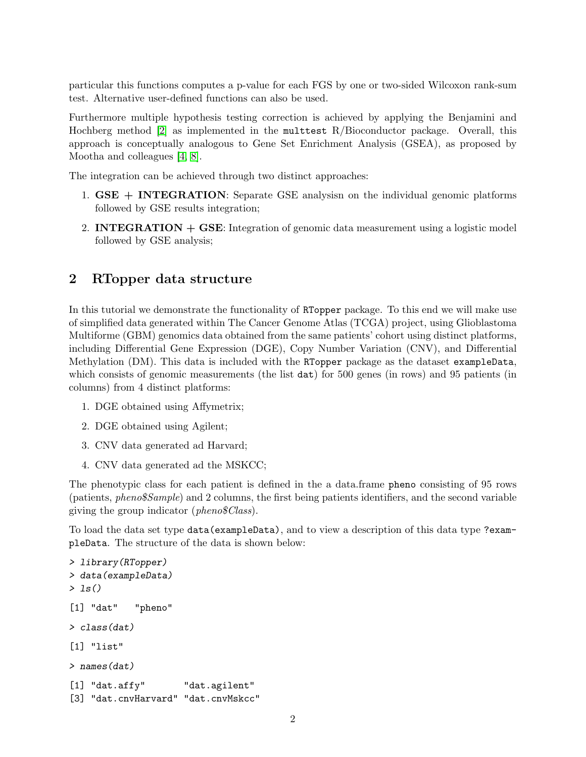particular this functions computes a p-value for each FGS by one or two-sided Wilcoxon rank-sum test. Alternative user-defined functions can also be used.

Furthermore multiple hypothesis testing correction is achieved by applying the Benjamini and Hochberg method  $[2]$  as implemented in the multtest R/Bioconductor package. Overall, this approach is conceptually analogous to Gene Set Enrichment Analysis (GSEA), as proposed by Mootha and colleagues [\[4,](#page-18-5) [8\]](#page-18-6).

The integration can be achieved through two distinct approaches:

- 1.  $GSE + INTEGRATION$ : Separate GSE analysisn on the individual genomic platforms followed by GSE results integration;
- 2. **INTEGRATION**  $+$  **GSE**: Integration of genomic data measurement using a logistic model followed by GSE analysis;

# <span id="page-1-0"></span>2 RTopper data structure

In this tutorial we demonstrate the functionality of RTopper package. To this end we will make use of simplified data generated within The Cancer Genome Atlas (TCGA) project, using Glioblastoma Multiforme (GBM) genomics data obtained from the same patients' cohort using distinct platforms, including Differential Gene Expression (DGE), Copy Number Variation (CNV), and Differential Methylation (DM). This data is included with the RTopper package as the dataset exampleData, which consists of genomic measurements (the list  $dat$ ) for 500 genes (in rows) and 95 patients (in columns) from 4 distinct platforms:

- 1. DGE obtained using Affymetrix;
- 2. DGE obtained using Agilent;
- 3. CNV data generated ad Harvard;
- 4. CNV data generated ad the MSKCC;

The phenotypic class for each patient is defined in the a data.frame pheno consisting of 95 rows (patients, pheno\$Sample) and 2 columns, the first being patients identifiers, and the second variable giving the group indicator (pheno\$Class).

To load the data set type data(exampleData), and to view a description of this data type ?exampleData. The structure of the data is shown below:

```
> library(RTopper)
> data(exampleData)
> ls()
[1] "dat" "pheno"
> class(dat)
[1] "list"
> names(dat)
[1] "dat.affy" "dat.agilent"
[3] "dat.cnvHarvard" "dat.cnvMskcc"
```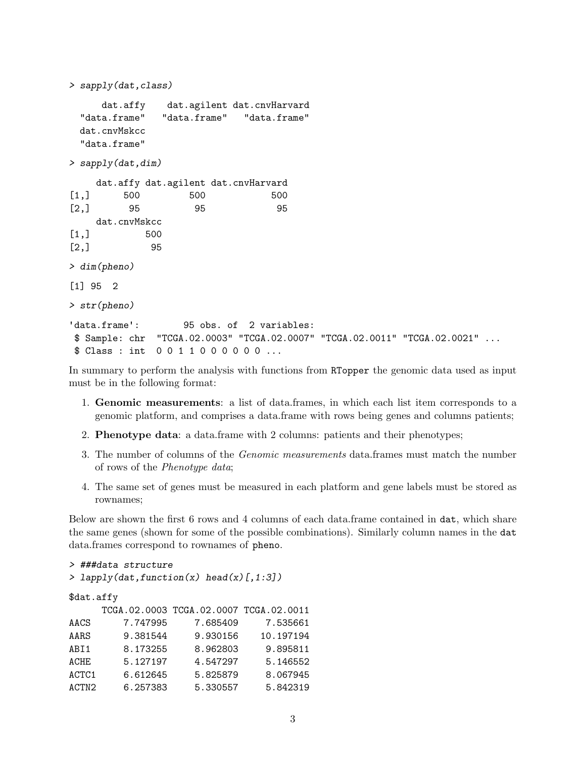```
> sapply(dat,class)
     dat.affy dat.agilent dat.cnvHarvard
 "data.frame" "data.frame" "data.frame"
 dat.cnvMskcc
 "data.frame"
> sapply(dat,dim)
    dat.affy dat.agilent dat.cnvHarvard
[1,] 500 500 500
[2,] 95 95 95
    dat.cnvMskcc
[1,] 500
[2,] 95
> dim(pheno)
[1] 95 2
> str(pheno)
'data.frame': 95 obs. of 2 variables:
$ Sample: chr "TCGA.02.0003" "TCGA.02.0007" "TCGA.02.0011" "TCGA.02.0021" ...
$ Class : int 0 0 1 1 0 0 0 0 0 0 ...
```
In summary to perform the analysis with functions from RTopper the genomic data used as input must be in the following format:

- 1. Genomic measurements: a list of data.frames, in which each list item corresponds to a genomic platform, and comprises a data.frame with rows being genes and columns patients;
- 2. Phenotype data: a data.frame with 2 columns: patients and their phenotypes;
- 3. The number of columns of the Genomic measurements data.frames must match the number of rows of the Phenotype data;
- 4. The same set of genes must be measured in each platform and gene labels must be stored as rownames;

Below are shown the first 6 rows and 4 columns of each data.frame contained in dat, which share the same genes (shown for some of the possible combinations). Similarly column names in the dat data.frames correspond to rownames of pheno.

```
> ###data structure
```

```
> lapply(dat,function(x) head(x)[,1:3])
```

| \$dat.affy        |          |                                        |           |  |
|-------------------|----------|----------------------------------------|-----------|--|
|                   |          | TCGA.02.0003 TCGA.02.0007 TCGA.02.0011 |           |  |
| AACS              | 7.747995 | 7.685409                               | 7.535661  |  |
| AARS              | 9.381544 | 9.930156                               | 10.197194 |  |
| ABI1              | 8.173255 | 8.962803                               | 9.895811  |  |
| ACHE              | 5.127197 | 4.547297                               | 5.146552  |  |
| ACTC1             | 6.612645 | 5.825879                               | 8.067945  |  |
| ACTN <sub>2</sub> | 6.257383 | 5.330557                               | 5.842319  |  |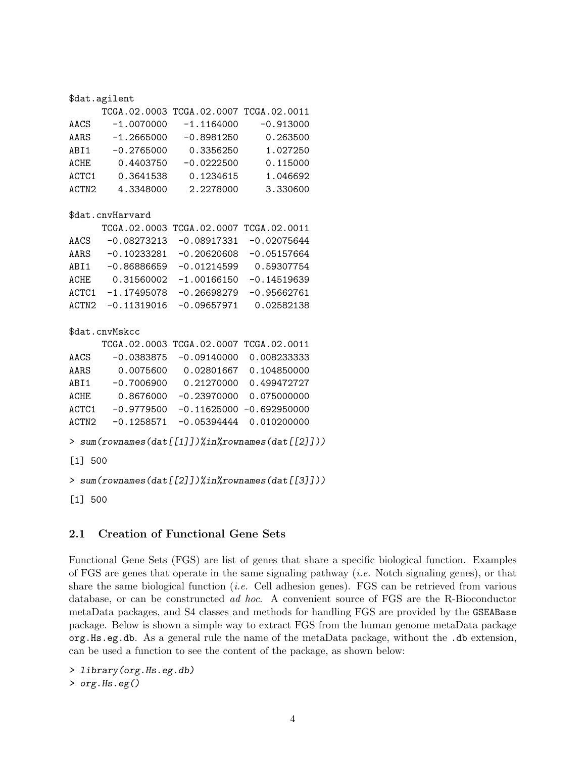#### \$dat.agilent

|                   |              | TCGA.02.0003 TCGA.02.0007 TCGA.02.0011 |             |
|-------------------|--------------|----------------------------------------|-------------|
| AACS              | $-1.0070000$ | $-1.1164000$                           | $-0.913000$ |
| AARS              | $-1.2665000$ | $-0.8981250$                           | 0.263500    |
| ABI1              | $-0.2765000$ | 0.3356250                              | 1.027250    |
| <b>ACHE</b>       | 0.4403750    | $-0.0222500$                           | 0.115000    |
| ACTC1             | 0.3641538    | 0.1234615                              | 1.046692    |
| ACTN <sub>2</sub> | 4.3348000    | 2.2278000                              | 3.330600    |

#### \$dat.cnvHarvard

|                   |               | TCGA.02.0003 TCGA.02.0007 TCGA.02.0011 |               |
|-------------------|---------------|----------------------------------------|---------------|
| AACS              | $-0.08273213$ | $-0.08917331$                          | $-0.02075644$ |
| AARS              | $-0.10233281$ | $-0.20620608$                          | $-0.05157664$ |
| ABI1              | $-0.86886659$ | $-0.01214599$                          | 0.59307754    |
| ACHE              | 0.31560002    | $-1.00166150$                          | $-0.14519639$ |
| ACTC1             | $-1.17495078$ | $-0.26698279$                          | $-0.95662761$ |
| ACTN <sub>2</sub> | $-0.11319016$ | $-0.09657971$                          | 0.02582138    |

#### \$dat.cnvMskcc

|                   |              | TCGA.02.0003 TCGA.02.0007 TCGA.02.0011 |                             |
|-------------------|--------------|----------------------------------------|-----------------------------|
| AACS              | $-0.0383875$ | $-0.09140000$                          | 0.008233333                 |
| AARS              | 0.0075600    | 0.02801667                             | 0.104850000                 |
| ABI1              | $-0.7006900$ | 0.21270000                             | 0.499472727                 |
| ACHE              | 0.8676000    | $-0.23970000$                          | 0.075000000                 |
| ACTC1             | $-0.9779500$ |                                        | $-0.11625000 - 0.692950000$ |
| ACTN <sub>2</sub> | $-0.1258571$ | $-0.05394444$                          | 0.010200000                 |

```
> sum(rownames(dat[[1]])%in%rownames(dat[[2]]))
```
[1] 500

```
> sum(rownames(dat[[2]])%in%rownames(dat[[3]]))
```
[1] 500

## <span id="page-3-0"></span>2.1 Creation of Functional Gene Sets

Functional Gene Sets (FGS) are list of genes that share a specific biological function. Examples of FGS are genes that operate in the same signaling pathway (*i.e.* Notch signaling genes), or that share the same biological function (i.e. Cell adhesion genes). FGS can be retrieved from various database, or can be construncted ad hoc. A convenient source of FGS are the R-Bioconductor metaData packages, and S4 classes and methods for handling FGS are provided by the GSEABase package. Below is shown a simple way to extract FGS from the human genome metaData package org.Hs.eg.db. As a general rule the name of the metaData package, without the .db extension, can be used a function to see the content of the package, as shown below:

> library(org.Hs.eg.db) > org.Hs.eg()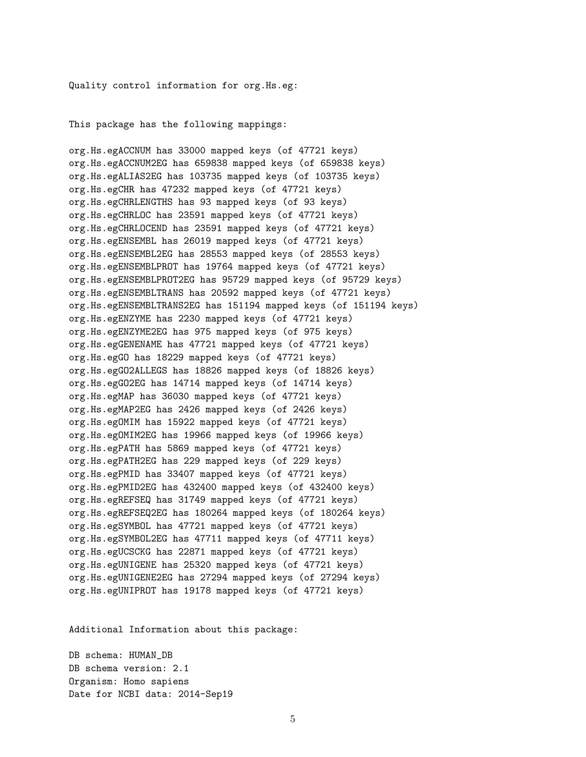Quality control information for org.Hs.eg:

This package has the following mappings:

org.Hs.egACCNUM has 33000 mapped keys (of 47721 keys) org.Hs.egACCNUM2EG has 659838 mapped keys (of 659838 keys) org.Hs.egALIAS2EG has 103735 mapped keys (of 103735 keys) org.Hs.egCHR has 47232 mapped keys (of 47721 keys) org.Hs.egCHRLENGTHS has 93 mapped keys (of 93 keys) org.Hs.egCHRLOC has 23591 mapped keys (of 47721 keys) org.Hs.egCHRLOCEND has 23591 mapped keys (of 47721 keys) org.Hs.egENSEMBL has 26019 mapped keys (of 47721 keys) org.Hs.egENSEMBL2EG has 28553 mapped keys (of 28553 keys) org.Hs.egENSEMBLPROT has 19764 mapped keys (of 47721 keys) org.Hs.egENSEMBLPROT2EG has 95729 mapped keys (of 95729 keys) org.Hs.egENSEMBLTRANS has 20592 mapped keys (of 47721 keys) org.Hs.egENSEMBLTRANS2EG has 151194 mapped keys (of 151194 keys) org.Hs.egENZYME has 2230 mapped keys (of 47721 keys) org.Hs.egENZYME2EG has 975 mapped keys (of 975 keys) org.Hs.egGENENAME has 47721 mapped keys (of 47721 keys) org.Hs.egGO has 18229 mapped keys (of 47721 keys) org.Hs.egGO2ALLEGS has 18826 mapped keys (of 18826 keys) org.Hs.egGO2EG has 14714 mapped keys (of 14714 keys) org.Hs.egMAP has 36030 mapped keys (of 47721 keys) org.Hs.egMAP2EG has 2426 mapped keys (of 2426 keys) org.Hs.egOMIM has 15922 mapped keys (of 47721 keys) org.Hs.egOMIM2EG has 19966 mapped keys (of 19966 keys) org.Hs.egPATH has 5869 mapped keys (of 47721 keys) org.Hs.egPATH2EG has 229 mapped keys (of 229 keys) org.Hs.egPMID has 33407 mapped keys (of 47721 keys) org.Hs.egPMID2EG has 432400 mapped keys (of 432400 keys) org.Hs.egREFSEQ has 31749 mapped keys (of 47721 keys) org.Hs.egREFSEQ2EG has 180264 mapped keys (of 180264 keys) org.Hs.egSYMBOL has 47721 mapped keys (of 47721 keys) org.Hs.egSYMBOL2EG has 47711 mapped keys (of 47711 keys) org.Hs.egUCSCKG has 22871 mapped keys (of 47721 keys) org.Hs.egUNIGENE has 25320 mapped keys (of 47721 keys) org.Hs.egUNIGENE2EG has 27294 mapped keys (of 27294 keys) org.Hs.egUNIPROT has 19178 mapped keys (of 47721 keys)

Additional Information about this package:

DB schema: HUMAN\_DB DB schema version: 2.1 Organism: Homo sapiens Date for NCBI data: 2014-Sep19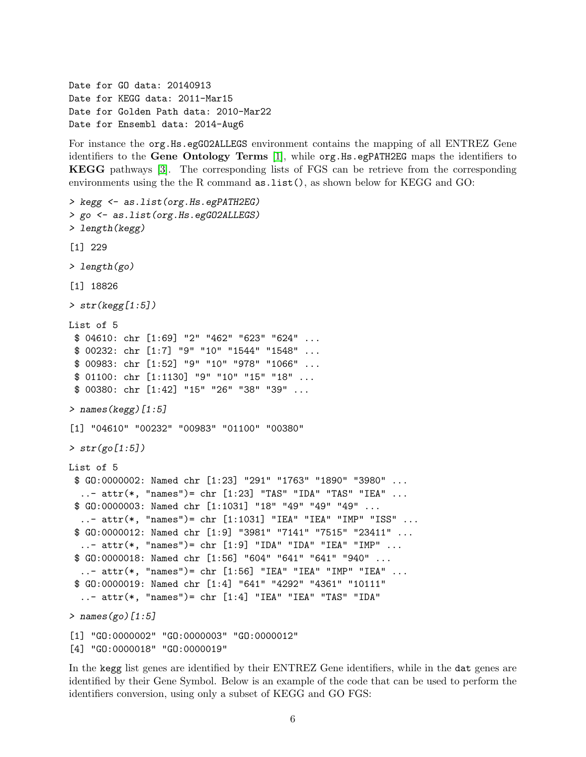Date for GO data: 20140913 Date for KEGG data: 2011-Mar15 Date for Golden Path data: 2010-Mar22 Date for Ensembl data: 2014-Aug6

For instance the org.Hs.egGO2ALLEGS environment contains the mapping of all ENTREZ Gene identifiers to the Gene Ontology Terms [\[1\]](#page-18-7), while org.Hs.egPATH2EG maps the identifiers to KEGG pathways [\[3\]](#page-18-8). The corresponding lists of FGS can be retrieve from the corresponding environments using the the R command as.list(), as shown below for KEGG and GO:

```
> kegg <- as.list(org.Hs.egPATH2EG)
> go <- as.list(org.Hs.egGO2ALLEGS)
> length(kegg)
[1] 229
> length(go)
[1] 18826
> str(key[1:5])List of 5
 $ 04610: chr [1:69] "2" "462" "623" "624" ...
 $ 00232: chr [1:7] "9" "10" "1544" "1548" ...
 $ 00983: chr [1:52] "9" "10" "978" "1066" ...
 $ 01100: chr [1:1130] "9" "10" "15" "18" ...
 $ 00380: chr [1:42] "15" "26" "38" "39" ...
> names(kegg)[1:5]
[1] "04610" "00232" "00983" "01100" "00380"
> str(go[1:5])List of 5
 $ GO:0000002: Named chr [1:23] "291" "1763" "1890" "3980" ...
  \ldots attr(*, "names")= chr [1:23] "TAS" "IDA" "TAS" "IEA" \ldots$ GO:0000003: Named chr [1:1031] "18" "49" "49" "49" ...
  \ldots attr(*, "names")= chr [1:1031] "IEA" "IEA" "IMP" "ISS" \ldots$ GO:0000012: Named chr [1:9] "3981" "7141" "7515" "23411" ...
  ..- attr(*, "names")= chr [1:9] "IDA" "IDA" "IEA" "IMP" ...
 $ GO:0000018: Named chr [1:56] "604" "641" "641" "940" ...
  ..- attr(*, "names")= chr [1:56] "IEA" "IEA" "IMP" "IEA" ...
 $ GO:0000019: Named chr [1:4] "641" "4292" "4361" "10111"
  ..- attr(*, "names")= chr [1:4] "IEA" "IEA" "TAS" "IDA"
> names(go)[1:5]
[1] "GO:0000002" "GO:0000003" "GO:0000012"
[4] "GO:0000018" "GO:0000019"
```
In the kegg list genes are identified by their ENTREZ Gene identifiers, while in the dat genes are identified by their Gene Symbol. Below is an example of the code that can be used to perform the identifiers conversion, using only a subset of KEGG and GO FGS: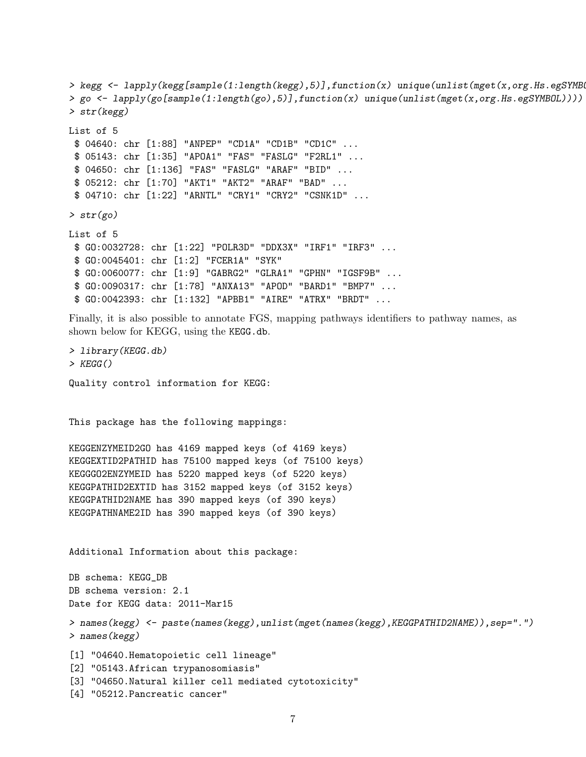```
> kegg <- lapply(kegg[sample(1:length(kegg),5)],function(x) unique(unlist(mget(x,org.Hs.egSYMB
> go <- lapply(go[sample(1:length(go),5)],function(x) unique(unlist(mget(x,org.Hs.egSYMBOL))))
> str(kegg)
List of 5
 $ 04640: chr [1:88] "ANPEP" "CD1A" "CD1B" "CD1C" ...
 $ 05143: chr [1:35] "APOA1" "FAS" "FASLG" "F2RL1" ...
 $ 04650: chr [1:136] "FAS" "FASLG" "ARAF" "BID" ...
 $ 05212: chr [1:70] "AKT1" "AKT2" "ARAF" "BAD" ...
 $ 04710: chr [1:22] "ARNTL" "CRY1" "CRY2" "CSNK1D" ...
\frac{1}{\sqrt{2}} str(go)
List of 5
 $ GO:0032728: chr [1:22] "POLR3D" "DDX3X" "IRF1" "IRF3" ...
 $ GO:0045401: chr [1:2] "FCER1A" "SYK"
 $ GO:0060077: chr [1:9] "GABRG2" "GLRA1" "GPHN" "IGSF9B" ...
 $ GO:0090317: chr [1:78] "ANXA13" "APOD" "BARD1" "BMP7" ...
 $ GO:0042393: chr [1:132] "APBB1" "AIRE" "ATRX" "BRDT" ...
```
Finally, it is also possible to annotate FGS, mapping pathways identifiers to pathway names, as shown below for KEGG, using the KEGG.db.

> library(KEGG.db)  $>$  KEGG() Quality control information for KEGG:

This package has the following mappings:

KEGGENZYMEID2GO has 4169 mapped keys (of 4169 keys) KEGGEXTID2PATHID has 75100 mapped keys (of 75100 keys) KEGGGO2ENZYMEID has 5220 mapped keys (of 5220 keys) KEGGPATHID2EXTID has 3152 mapped keys (of 3152 keys) KEGGPATHID2NAME has 390 mapped keys (of 390 keys) KEGGPATHNAME2ID has 390 mapped keys (of 390 keys)

Additional Information about this package:

DB schema: KEGG\_DB DB schema version: 2.1 Date for KEGG data: 2011-Mar15 > names(kegg) <- paste(names(kegg),unlist(mget(names(kegg),KEGGPATHID2NAME)),sep=".") > names(kegg) [1] "04640.Hematopoietic cell lineage" [2] "05143.African trypanosomiasis"

[3] "04650.Natural killer cell mediated cytotoxicity"

[4] "05212.Pancreatic cancer"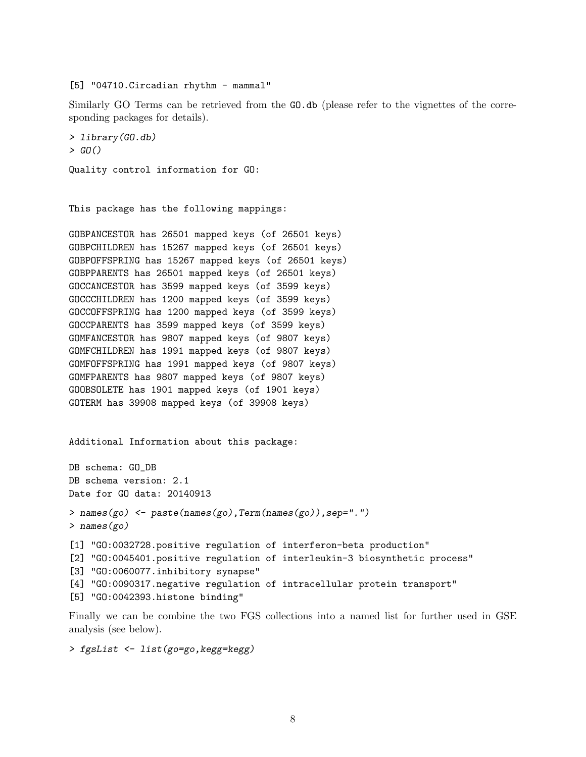[5] "04710. Circadian rhythm - mammal"

Similarly GO Terms can be retrieved from the GO.db (please refer to the vignettes of the corresponding packages for details).

```
> library(GO.db)
> GO()
Quality control information for GO:
```
This package has the following mappings:

GOBPANCESTOR has 26501 mapped keys (of 26501 keys) GOBPCHILDREN has 15267 mapped keys (of 26501 keys) GOBPOFFSPRING has 15267 mapped keys (of 26501 keys) GOBPPARENTS has 26501 mapped keys (of 26501 keys) GOCCANCESTOR has 3599 mapped keys (of 3599 keys) GOCCCHILDREN has 1200 mapped keys (of 3599 keys) GOCCOFFSPRING has 1200 mapped keys (of 3599 keys) GOCCPARENTS has 3599 mapped keys (of 3599 keys) GOMFANCESTOR has 9807 mapped keys (of 9807 keys) GOMFCHILDREN has 1991 mapped keys (of 9807 keys) GOMFOFFSPRING has 1991 mapped keys (of 9807 keys) GOMFPARENTS has 9807 mapped keys (of 9807 keys) GOOBSOLETE has 1901 mapped keys (of 1901 keys) GOTERM has 39908 mapped keys (of 39908 keys)

Additional Information about this package:

```
DB schema: GO_DB
DB schema version: 2.1
Date for GO data: 20140913
> names(go) <- paste(names(go),Term(names(go)),sep=".")
> names(go)
[1] "GO:0032728.positive regulation of interferon-beta production"
[2] "GO:0045401.positive regulation of interleukin-3 biosynthetic process"
[3] "GO:0060077.inhibitory synapse"
[4] "GO:0090317.negative regulation of intracellular protein transport"
[5] "GO:0042393.histone binding"
```
Finally we can be combine the two FGS collections into a named list for further used in GSE analysis (see below).

```
> fgsList <- list(go=go,kegg=kegg)
```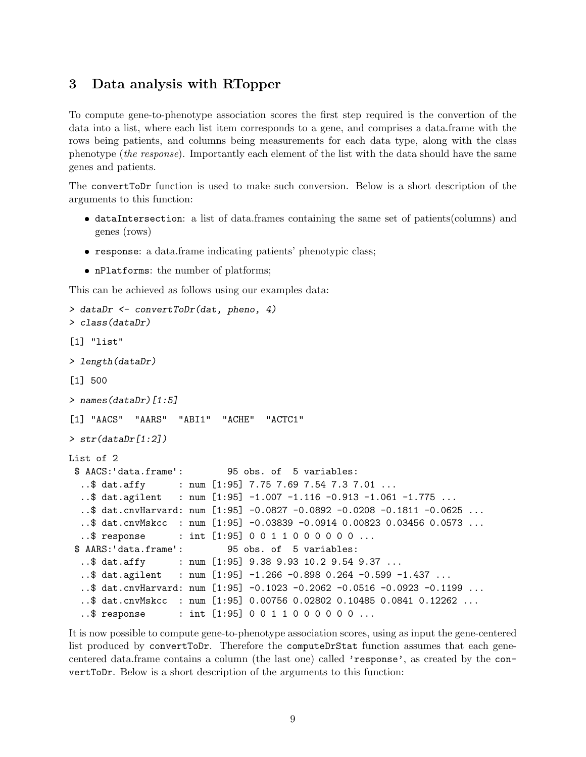# <span id="page-8-0"></span>3 Data analysis with RTopper

To compute gene-to-phenotype association scores the first step required is the convertion of the data into a list, where each list item corresponds to a gene, and comprises a data.frame with the rows being patients, and columns being measurements for each data type, along with the class phenotype (the response). Importantly each element of the list with the data should have the same genes and patients.

The convertToDr function is used to make such conversion. Below is a short description of the arguments to this function:

- dataIntersection: a list of data.frames containing the same set of patients(columns) and genes (rows)
- response: a data.frame indicating patients' phenotypic class;
- nPlatforms: the number of platforms;

This can be achieved as follows using our examples data:

```
> dataDr <- convertToDr(dat, pheno, 4)
> class(dataDr)
[1] "list"
> length(dataDr)
[1] 500
> names(dataDr)[1:5]
[1] "AACS" "AARS" "ABI1" "ACHE" "ACTC1"
> str(dataDr[1:2])List of 2
 $ AACS:'data.frame': 95 obs. of 5 variables:
  ..$ dat.affy : num [1:95] 7.75 7.69 7.54 7.3 7.01 ...
  ..$ dat.agilent : num [1:95] -1.007 -1.116 -0.913 -1.061 -1.775 ...
  ..$ dat.cnvHarvard: num [1:95] -0.0827 -0.0892 -0.0208 -0.1811 -0.0625 ...
  ..$ dat.cnvMskcc : num [1:95] -0.03839 -0.0914 0.00823 0.03456 0.0573 ...
  ..$ response : int [1:95] 0 0 1 1 0 0 0 0 0 0 ...
 $ AARS:'data.frame': 95 obs. of 5 variables:
  ..$ dat.affy : num [1:95] 9.38 9.93 10.2 9.54 9.37 ...
  ..$ dat.agilent : num [1:95] -1.266 -0.898 0.264 -0.599 -1.437 ...
  ..$ dat.cnvHarvard: num [1:95] -0.1023 -0.2062 -0.0516 -0.0923 -0.1199 ...
  ..$ dat.cnvMskcc : num [1:95] 0.00756 0.02802 0.10485 0.0841 0.12262 ...
  ..$ response : int [1:95] 0 0 1 1 0 0 0 0 0 0 ...
```
It is now possible to compute gene-to-phenotype association scores, using as input the gene-centered list produced by convertToDr. Therefore the computeDrStat function assumes that each genecentered data.frame contains a column (the last one) called 'response', as created by the convertToDr. Below is a short description of the arguments to this function: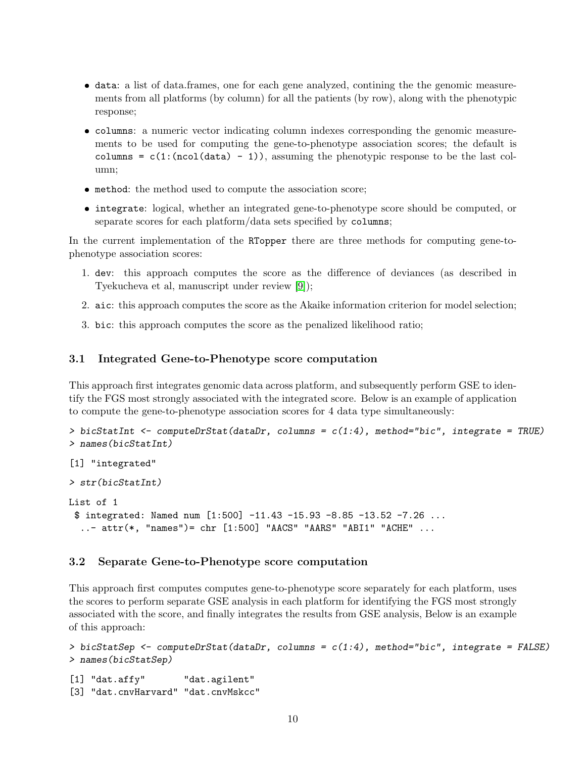- data: a list of data.frames, one for each gene analyzed, contining the the genomic measurements from all platforms (by column) for all the patients (by row), along with the phenotypic response;
- columns: a numeric vector indicating column indexes corresponding the genomic measurements to be used for computing the gene-to-phenotype association scores; the default is columns =  $c(1:(ncol(data) - 1))$ , assuming the phenotypic response to be the last column;
- method: the method used to compute the association score;
- integrate: logical, whether an integrated gene-to-phenotype score should be computed, or separate scores for each platform/data sets specified by columns;

In the current implementation of the RTopper there are three methods for computing gene-tophenotype association scores:

- 1. dev: this approach computes the score as the difference of deviances (as described in Tyekucheva et al, manuscript under review [\[9\]](#page-18-9));
- 2. aic: this approach computes the score as the Akaike information criterion for model selection;
- 3. bic: this approach computes the score as the penalized likelihood ratio;

#### <span id="page-9-0"></span>3.1 Integrated Gene-to-Phenotype score computation

This approach first integrates genomic data across platform, and subsequently perform GSE to identify the FGS most strongly associated with the integrated score. Below is an example of application to compute the gene-to-phenotype association scores for 4 data type simultaneously:

```
> bicStatInt \leq computeDrStat(dataDr, columns = c(1:4), method="bic", integrate = TRUE)
> names(bicStatInt)
[1] "integrated"
> str(bicStatInt)
List of 1
 $ integrated: Named num [1:500] -11.43 -15.93 -8.85 -13.52 -7.26 ...
  \ldots attr(*, "names")= chr [1:500] "AACS" "AARS" "ABI1" "ACHE" \ldots
```
#### <span id="page-9-1"></span>3.2 Separate Gene-to-Phenotype score computation

This approach first computes computes gene-to-phenotype score separately for each platform, uses the scores to perform separate GSE analysis in each platform for identifying the FGS most strongly associated with the score, and finally integrates the results from GSE analysis, Below is an example of this approach:

```
> bicStatSep \leq computeDrStat(dataDr, columns = c(1:4), method="bic", integrate = FALSE)
> names(bicStatSep)
```
[1] "dat.affy" "dat.agilent" [3] "dat.cnvHarvard" "dat.cnvMskcc"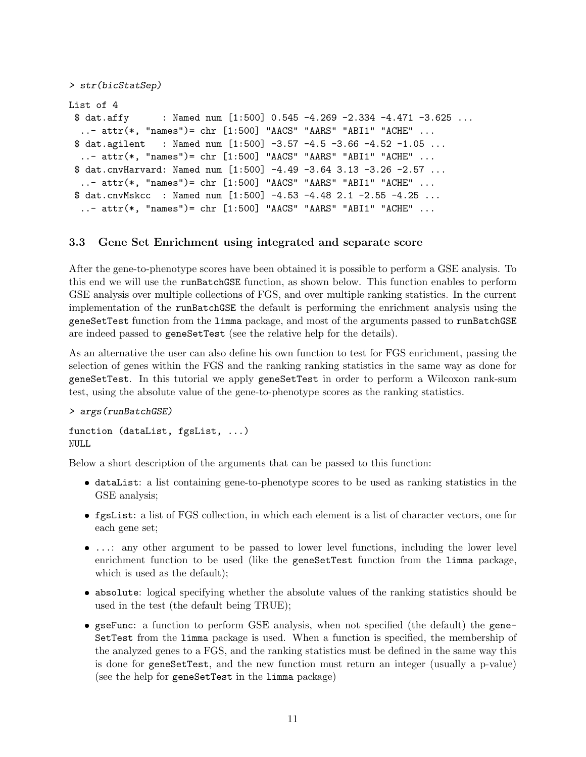```
> str(bicStatSep)
List of 4
 $ data.affy : Named num [1:500] 0.545 -4.269 -2.334 -4.471 -3.625 ...
  ..- attr(*, "names")= chr [1:500] "AACS" "AARS" "ABI1" "ACHE" ...
 $ data.7 dat.agilent : Named num [1:500] -3.57 -4.5 -3.66 -4.52 -1.05 ...
  \ldots attr(*, "names")= chr [1:500] "AACS" "AARS" "ABI1" "ACHE" \ldots$ dat.cnvHarvard: Named num [1:500] -4.49 -3.64 3.13 -3.26 -2.57 ...
  ..- attr(*, "names")= chr [1:500] "AACS" "AARS" "ABI1" "ACHE" ...
 $ dat.cnvMskcc : Named num [1:500] -4.53 -4.48 2.1 -2.55 -4.25 ...
  ..- attr(*, "names")= chr [1:500] "AACS" "AARS" "ABI1" "ACHE" ...
```
## <span id="page-10-0"></span>3.3 Gene Set Enrichment using integrated and separate score

After the gene-to-phenotype scores have been obtained it is possible to perform a GSE analysis. To this end we will use the runBatchGSE function, as shown below. This function enables to perform GSE analysis over multiple collections of FGS, and over multiple ranking statistics. In the current implementation of the runBatchGSE the default is performing the enrichment analysis using the geneSetTest function from the limma package, and most of the arguments passed to runBatchGSE are indeed passed to geneSetTest (see the relative help for the details).

As an alternative the user can also define his own function to test for FGS enrichment, passing the selection of genes within the FGS and the ranking ranking statistics in the same way as done for geneSetTest. In this tutorial we apply geneSetTest in order to perform a Wilcoxon rank-sum test, using the absolute value of the gene-to-phenotype scores as the ranking statistics.

#### > args(runBatchGSE)

```
function (dataList, fgsList, ...)
NULL
```
Below a short description of the arguments that can be passed to this function:

- dataList: a list containing gene-to-phenotype scores to be used as ranking statistics in the GSE analysis;
- fgsList: a list of FGS collection, in which each element is a list of character vectors, one for each gene set;
- ...: any other argument to be passed to lower level functions, including the lower level enrichment function to be used (like the geneSetTest function from the limma package, which is used as the default);
- absolute: logical specifying whether the absolute values of the ranking statistics should be used in the test (the default being TRUE);
- gseFunc: a function to perform GSE analysis, when not specified (the default) the gene-SetTest from the limma package is used. When a function is specified, the membership of the analyzed genes to a FGS, and the ranking statistics must be defined in the same way this is done for geneSetTest, and the new function must return an integer (usually a p-value) (see the help for geneSetTest in the limma package)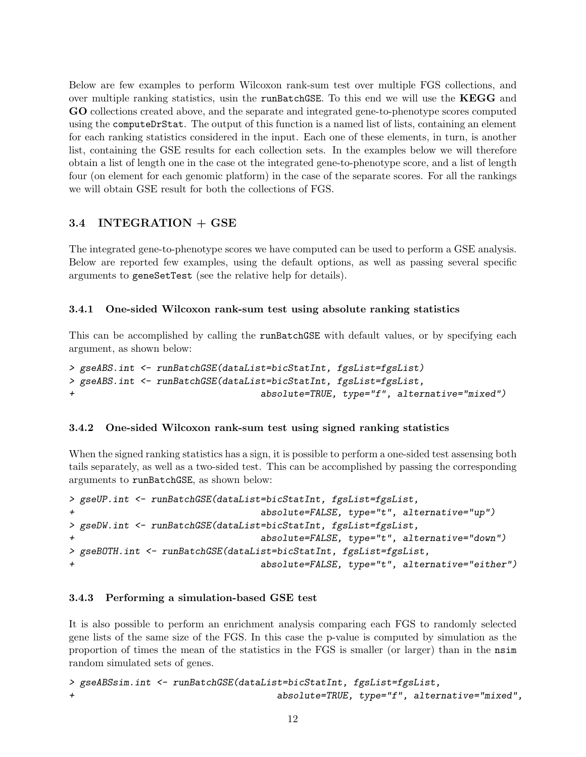Below are few examples to perform Wilcoxon rank-sum test over multiple FGS collections, and over multiple ranking statistics, usin the runBatchGSE. To this end we will use the KEGG and GO collections created above, and the separate and integrated gene-to-phenotype scores computed using the computeDrStat. The output of this function is a named list of lists, containing an element for each ranking statistics considered in the input. Each one of these elements, in turn, is another list, containing the GSE results for each collection sets. In the examples below we will therefore obtain a list of length one in the case ot the integrated gene-to-phenotype score, and a list of length four (on element for each genomic platform) in the case of the separate scores. For all the rankings we will obtain GSE result for both the collections of FGS.

# <span id="page-11-0"></span>3.4 INTEGRATION + GSE

The integrated gene-to-phenotype scores we have computed can be used to perform a GSE analysis. Below are reported few examples, using the default options, as well as passing several specific arguments to geneSetTest (see the relative help for details).

## <span id="page-11-1"></span>3.4.1 One-sided Wilcoxon rank-sum test using absolute ranking statistics

This can be accomplished by calling the runBatchGSE with default values, or by specifying each argument, as shown below:

```
> gseABS.int <- runBatchGSE(dataList=bicStatInt, fgsList=fgsList)
> gseABS.int <- runBatchGSE(dataList=bicStatInt, fgsList=fgsList,
                                   absolute=TRUE, type="f", alternative="mixed")
```
## <span id="page-11-2"></span>3.4.2 One-sided Wilcoxon rank-sum test using signed ranking statistics

When the signed ranking statistics has a sign, it is possible to perform a one-sided test assensing both tails separately, as well as a two-sided test. This can be accomplished by passing the corresponding arguments to runBatchGSE, as shown below:

```
> gseUP.int <- runBatchGSE(dataList=bicStatInt, fgsList=fgsList,
+ absolute=FALSE, type="t", alternative="up")
> gseDW.int <- runBatchGSE(dataList=bicStatInt, fgsList=fgsList,
+ absolute=FALSE, type="t", alternative="down")
> gseBOTH.int <- runBatchGSE(dataList=bicStatInt, fgsList=fgsList,
+ absolute=FALSE, type="t", alternative="either")
```
#### <span id="page-11-3"></span>3.4.3 Performing a simulation-based GSE test

It is also possible to perform an enrichment analysis comparing each FGS to randomly selected gene lists of the same size of the FGS. In this case the p-value is computed by simulation as the proportion of times the mean of the statistics in the FGS is smaller (or larger) than in the nsim random simulated sets of genes.

```
> gseABSsim.int <- runBatchGSE(dataList=bicStatInt, fgsList=fgsList,
+ absolute=TRUE, type="f", alternative="mixed",
```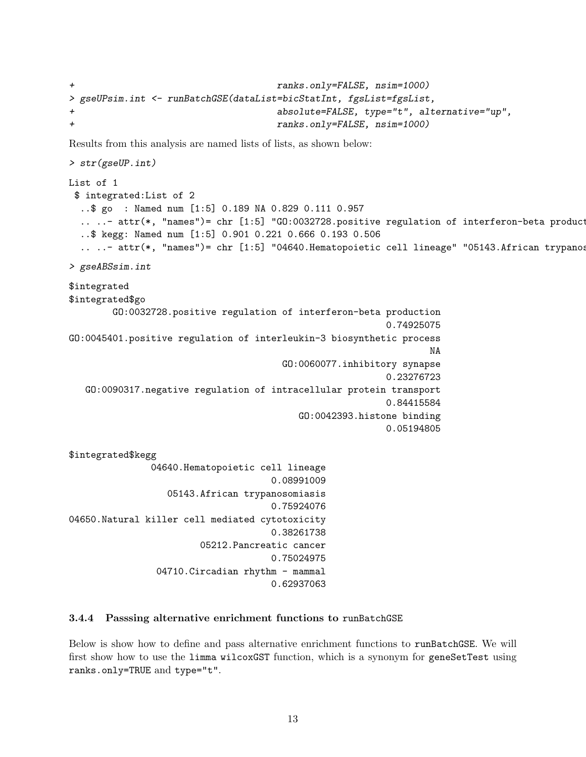```
ranks.only=FALSE, nsim=1000)
> gseUPsim.int <- runBatchGSE(dataList=bicStatInt, fgsList=fgsList,
                               absolute=FALSE, type="t", alternative="up",
+ ranks.only=FALSE, nsim=1000)
```
Results from this analysis are named lists of lists, as shown below:

```
> str(gseUP.int)
List of 1
 $ integrated:List of 2
  ..$ go : Named num [1:5] 0.189 NA 0.829 0.111 0.957
  ....- attr(*, "names")= chr [1:5] "GO:0032728.positive regulation of interferon-beta product
  ..$ kegg: Named num [1:5] 0.901 0.221 0.666 0.193 0.506
  .. ..- attr(*, "names")= chr [1:5] "04640.Hematopoietic cell lineage" "05143.African trypanos
> gseABSsim.int
$integrated
$integrated$go
        GO:0032728.positive regulation of interferon-beta production
                                                           0.74925075
GO:0045401.positive regulation of interleukin-3 biosynthetic process
                                                                   NA
                                        GO:0060077.inhibitory synapse
                                                           0.23276723
   GO:0090317.negative regulation of intracellular protein transport
                                                           0.84415584
                                           GO:0042393.histone binding
                                                           0.05194805
$integrated$kegg
               04640.Hematopoietic cell lineage
                                      0.08991009
                  05143.African trypanosomiasis
                                      0.75924076
04650.Natural killer cell mediated cytotoxicity
                                      0.38261738
                        05212.Pancreatic cancer
                                      0.75024975
                04710. Circadian rhythm - mammal
                                      0.62937063
```
#### <span id="page-12-0"></span>3.4.4 Passsing alternative enrichment functions to runBatchGSE

Below is show how to define and pass alternative enrichment functions to runBatchGSE. We will first show how to use the limma wilcoxGST function, which is a synonym for geneSetTest using ranks.only=TRUE and type="t".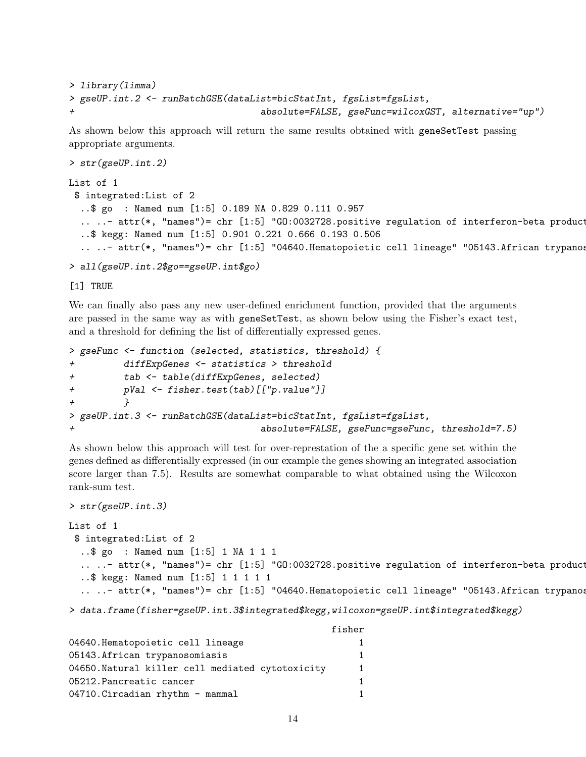```
> library(limma)
> gseUP.int.2 <- runBatchGSE(dataList=bicStatInt, fgsList=fgsList,
                                    + absolute=FALSE, gseFunc=wilcoxGST, alternative="up")
```
As shown below this approach will return the same results obtained with geneSetTest passing appropriate arguments.

```
> str(gseUP.int.2)
List of 1
 $ integrated:List of 2
  ..$ go : Named num [1:5] 0.189 NA 0.829 0.111 0.957
  ....- attr(*, "names")= chr [1:5] "G0:0032728.positive regulation of interferon-beta product
  ..$ kegg: Named num [1:5] 0.901 0.221 0.666 0.193 0.506
  .. ..- attr(*, "names")= chr [1:5] "04640.Hematopoietic cell lineage" "05143.African trypanos
```

```
> all(gseUP.int.2$go==gseUP.int$go)
```
[1] TRUE

We can finally also pass any new user-defined enrichment function, provided that the arguments are passed in the same way as with geneSetTest, as shown below using the Fisher's exact test, and a threshold for defining the list of differentially expressed genes.

```
> gseFunc <- function (selected, statistics, threshold) {
+ diffExpGenes <- statistics > threshold
+ tab <- table(diffExpGenes, selected)
+ pVal <- fisher.test(tab)[["p.value"]]
+ }
> gseUP.int.3 <- runBatchGSE(dataList=bicStatInt, fgsList=fgsList,
+ absolute=FALSE, gseFunc=gseFunc, threshold=7.5)
```
As shown below this approach will test for over-represtation of the a specific gene set within the genes defined as differentially expressed (in our example the genes showing an integrated association score larger than 7.5). Results are somewhat comparable to what obtained using the Wilcoxon rank-sum test.

```
> str(gseUP.int.3)
```

```
List of 1
 $ integrated:List of 2
  ..$ go : Named num [1:5] 1 NA 1 1 1
  ....- attr(*, "names")= chr [1:5] "GO:0032728.positive regulation of interferon-beta product
  ..$ kegg: Named num [1:5] 1 1 1 1 1
  .. \ldots attr(*, "names")= chr [1:5] "04640.Hematopoietic cell lineage" "05143.African trypanos
```
> data.frame(fisher=gseUP.int.3\$integrated\$kegg,wilcoxon=gseUP.int\$integrated\$kegg)

|                                                  | fisher |
|--------------------------------------------------|--------|
| 04640.Hematopoietic cell lineage                 |        |
| 05143. African trypanosomiasis                   |        |
| 04650. Natural killer cell mediated cytotoxicity |        |
| 05212. Pancreatic cancer                         |        |
| 04710. Circadian rhythm - mammal                 |        |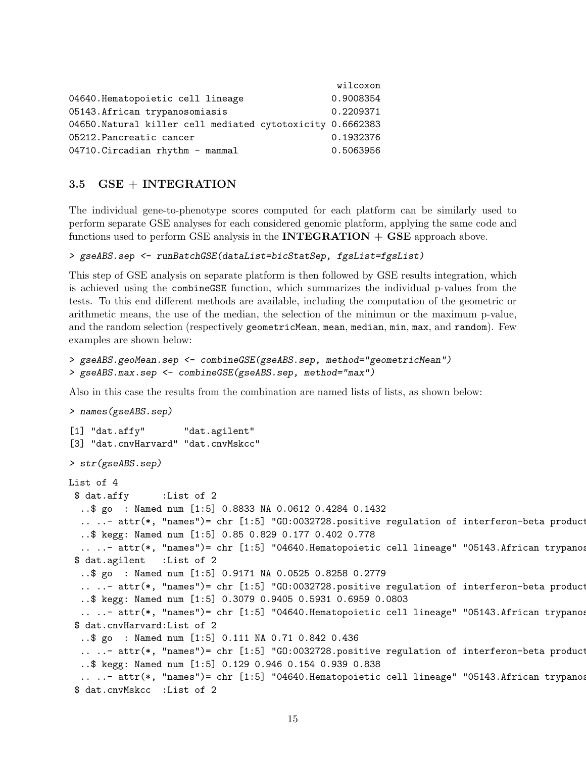|                                                            | wilcoxon  |
|------------------------------------------------------------|-----------|
| 04640.Hematopoietic cell lineage                           | 0.9008354 |
| 05143. African trypanosomiasis                             | 0.2209371 |
| 04650. Natural killer cell mediated cytotoxicity 0.6662383 |           |
| 05212. Pancreatic cancer                                   | 0.1932376 |
| 04710. Circadian rhythm - mammal                           | 0.5063956 |

### <span id="page-14-0"></span>3.5 GSE + INTEGRATION

The individual gene-to-phenotype scores computed for each platform can be similarly used to perform separate GSE analyses for each considered genomic platform, applying the same code and functions used to perform GSE analysis in the **INTEGRATION**  $+$  **GSE** approach above.

```
> gseABS.sep <- runBatchGSE(dataList=bicStatSep, fgsList=fgsList)
```
This step of GSE analysis on separate platform is then followed by GSE results integration, which is achieved using the combineGSE function, which summarizes the individual p-values from the tests. To this end different methods are available, including the computation of the geometric or arithmetic means, the use of the median, the selection of the minimun or the maximum p-value, and the random selection (respectively geometricMean, mean, median, min, max, and random). Few examples are shown below:

```
> gseABS.geoMean.sep <- combineGSE(gseABS.sep, method="geometricMean")
> gseABS.max.sep <- combineGSE(gseABS.sep, method="max")
```
Also in this case the results from the combination are named lists of lists, as shown below:

```
> names(gseABS.sep)
[1] "dat.affy" "dat.agilent"
[3] "dat.cnvHarvard" "dat.cnvMskcc"
> str(gseABS.sep)
List of 4
 $ dat.affy :List of 2
  ..$ go : Named num [1:5] 0.8833 NA 0.0612 0.4284 0.1432
  ....- attr(*, "names")= chr [1:5] "GO:0032728.positive regulation of interferon-beta product
  ..$ kegg: Named num [1:5] 0.85 0.829 0.177 0.402 0.778
  .. ..- attr(*, "names")= chr [1:5] "04640.Hematopoietic cell lineage" "05143.African trypanos
 $ dat.agilent :List of 2
  ..$ go : Named num [1:5] 0.9171 NA 0.0525 0.8258 0.2779
  ....- attr(*, "names")= chr [1:5] "GO:0032728.positive regulation of interferon-beta product
  ..$ kegg: Named num [1:5] 0.3079 0.9405 0.5931 0.6959 0.0803
  .. ..- attr(*, "names")= chr [1:5] "04640.Hematopoietic cell lineage" "05143.African trypanos
 $ dat.cnvHarvard:List of 2
  ..$ go : Named num [1:5] 0.111 NA 0.71 0.842 0.436
  ....- attr(*, "names")= chr [1:5] "GO:0032728.positive regulation of interferon-beta product
  ..$ kegg: Named num [1:5] 0.129 0.946 0.154 0.939 0.838
  .. ..- attr(*, "names")= chr [1:5] "04640.Hematopoietic cell lineage" "05143.African trypanos
 $ dat.cnvMskcc :List of 2
```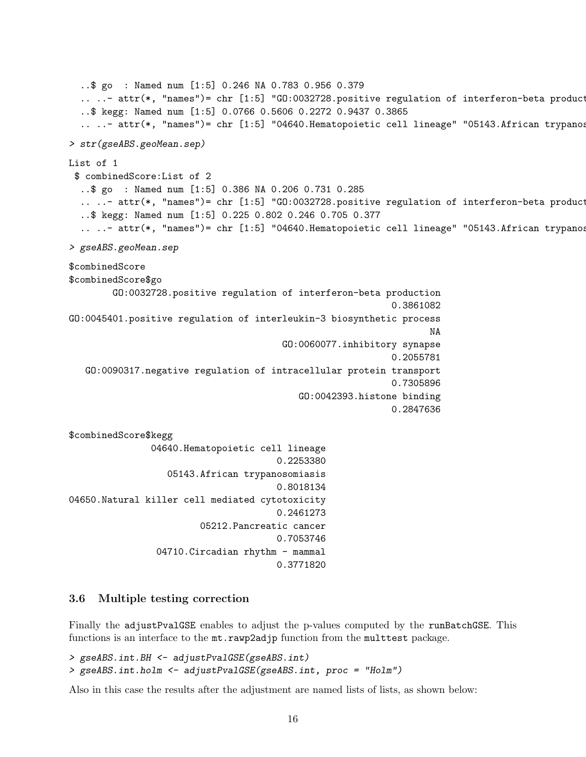```
..$ go : Named num [1:5] 0.246 NA 0.783 0.956 0.379
  ....- attr(*, "names")= chr [1:5] "GO:0032728.positive regulation of interferon-beta product
  ..$ kegg: Named num [1:5] 0.0766 0.5606 0.2272 0.9437 0.3865
  .. \ldots attr(*, "names")= chr [1:5] "04640.Hematopoietic cell lineage" "05143.African trypanos
> str(gseABS.geoMean.sep)
List of 1
 $ combinedScore:List of 2
  ..$ go : Named num [1:5] 0.386 NA 0.206 0.731 0.285
  ....- attr(*, "names")= chr [1:5] "GO:0032728.positive regulation of interferon-beta product
  ..$ kegg: Named num [1:5] 0.225 0.802 0.246 0.705 0.377
  .. \ldots attr(*, "names")= chr [1:5] "04640.Hematopoietic cell lineage" "05143.African trypanos
> gseABS.geoMean.sep
$combinedScore
$combinedScore$go
        GO:0032728.positive regulation of interferon-beta production
                                                            0.3861082
GO:0045401.positive regulation of interleukin-3 biosynthetic process
                                                                   NA
                                       GO:0060077.inhibitory synapse
                                                            0.2055781
   GO:0090317.negative regulation of intracellular protein transport
                                                            0.7305896
                                           GO:0042393.histone binding
                                                            0.2847636
$combinedScore$kegg
               04640.Hematopoietic cell lineage
                                      0.2253380
                  05143.African trypanosomiasis
                                       0.8018134
04650.Natural killer cell mediated cytotoxicity
                                      0.2461273
                        05212.Pancreatic cancer
                                      0.7053746
                04710. Circadian rhythm - mammal
                                      0.3771820
```
#### <span id="page-15-0"></span>3.6 Multiple testing correction

Finally the adjustPvalGSE enables to adjust the p-values computed by the runBatchGSE. This functions is an interface to the mt.rawp2adjp function from the multtest package.

> gseABS.int.BH <- adjustPvalGSE(gseABS.int) > gseABS.int.holm <- adjustPvalGSE(gseABS.int, proc = "Holm")

Also in this case the results after the adjustment are named lists of lists, as shown below: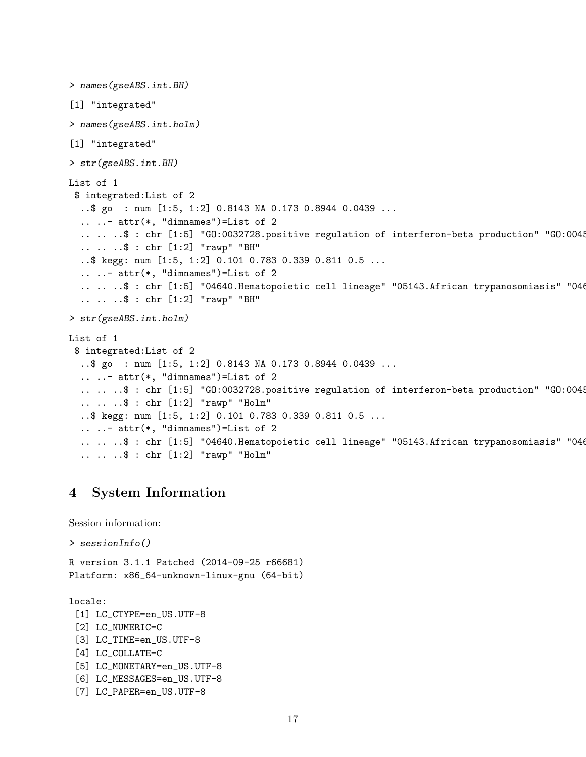```
> names(gseABS.int.BH)
[1] "integrated"
> names(gseABS.int.holm)
[1] "integrated"
> str(gseABS.int.BH)
List of 1
 $ integrated:List of 2
  ..$ go : num [1:5, 1:2] 0.8143 NA 0.173 0.8944 0.0439 ...
  .. ..- attr(*, "dimnames")=List of 2
  .....$: chr [1:5] "G0:0032728.positive regulation of interferon-beta production" "G0:004!
  .. .. ..$ : chr [1:2] "rawp" "BH"
  ..$ kegg: num [1:5, 1:2] 0.101 0.783 0.339 0.811 0.5 ...
  .. ..- attr(*, "dimnames")=List of 2
  .. .. ..$ : chr [1:5] "04640.Hematopoietic cell lineage" "05143.African trypanosomiasis" "046
  .. .. ..$ : chr [1:2] "rawp" "BH"
> str(gseABS.int.holm)
List of 1
 $ integrated:List of 2
  ..$ go : num [1:5, 1:2] 0.8143 NA 0.173 0.8944 0.0439 ...
  .. ..- attr(*, "dimnames")=List of 2
  .....$: chr [1:5] "G0:0032728.positive regulation of interferon-beta production" "G0:004!
  .. .. ..$ : chr [1:2] "rawp" "Holm"
  ..$ kegg: num [1:5, 1:2] 0.101 0.783 0.339 0.811 0.5 ...
  .. ..- attr(*, "dimnames")=List of 2
  .. .. ..$ : chr [1:5] "04640.Hematopoietic cell lineage" "05143.African trypanosomiasis" "046
  .. .. ..$ : chr [1:2] "rawp" "Holm"
```
# <span id="page-16-0"></span>4 System Information

Session information:

```
> sessionInfo()
```
R version 3.1.1 Patched (2014-09-25 r66681) Platform: x86\_64-unknown-linux-gnu (64-bit)

locale:

[1] LC\_CTYPE=en\_US.UTF-8 [2] LC\_NUMERIC=C [3] LC\_TIME=en\_US.UTF-8 [4] LC\_COLLATE=C [5] LC\_MONETARY=en\_US.UTF-8 [6] LC\_MESSAGES=en\_US.UTF-8 [7] LC\_PAPER=en\_US.UTF-8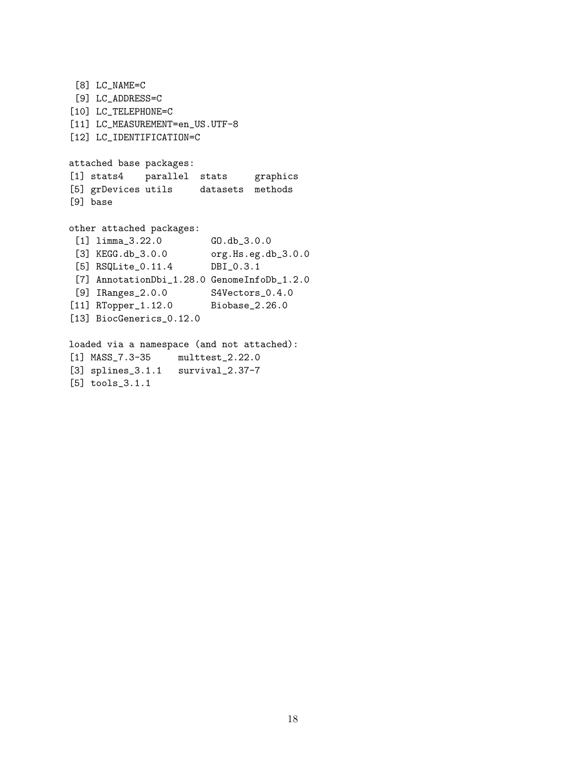```
[8] LC_NAME=C
 [9] LC_ADDRESS=C
[10] LC_TELEPHONE=C
[11] LC_MEASUREMENT=en_US.UTF-8
[12] LC_IDENTIFICATION=C
attached base packages:
[1] stats4 parallel stats graphics
[5] grDevices utils datasets methods
[9] base
other attached packages:
 [1] limma_3.22.0 GO.db_3.0.0
 [3] KEGG.db_3.0.0 org.Hs.eg.db_3.0.0<br>[5] RSQLite 0.11.4 DBI 0.3.1
 [5] RSQLite_0.11.4 DBI_0.3.1
 [7] AnnotationDbi_1.28.0 GenomeInfoDb_1.2.0
 [9] IRanges_2.0.0 S4Vectors_0.4.0
[11] RTopper_1.12.0 Biobase_2.26.0
[13] BiocGenerics_0.12.0
loaded via a namespace (and not attached):
[1] MASS_7.3-35 multtest_2.22.0
[3] splines_3.1.1 survival_2.37-7
[5] tools_3.1.1
```